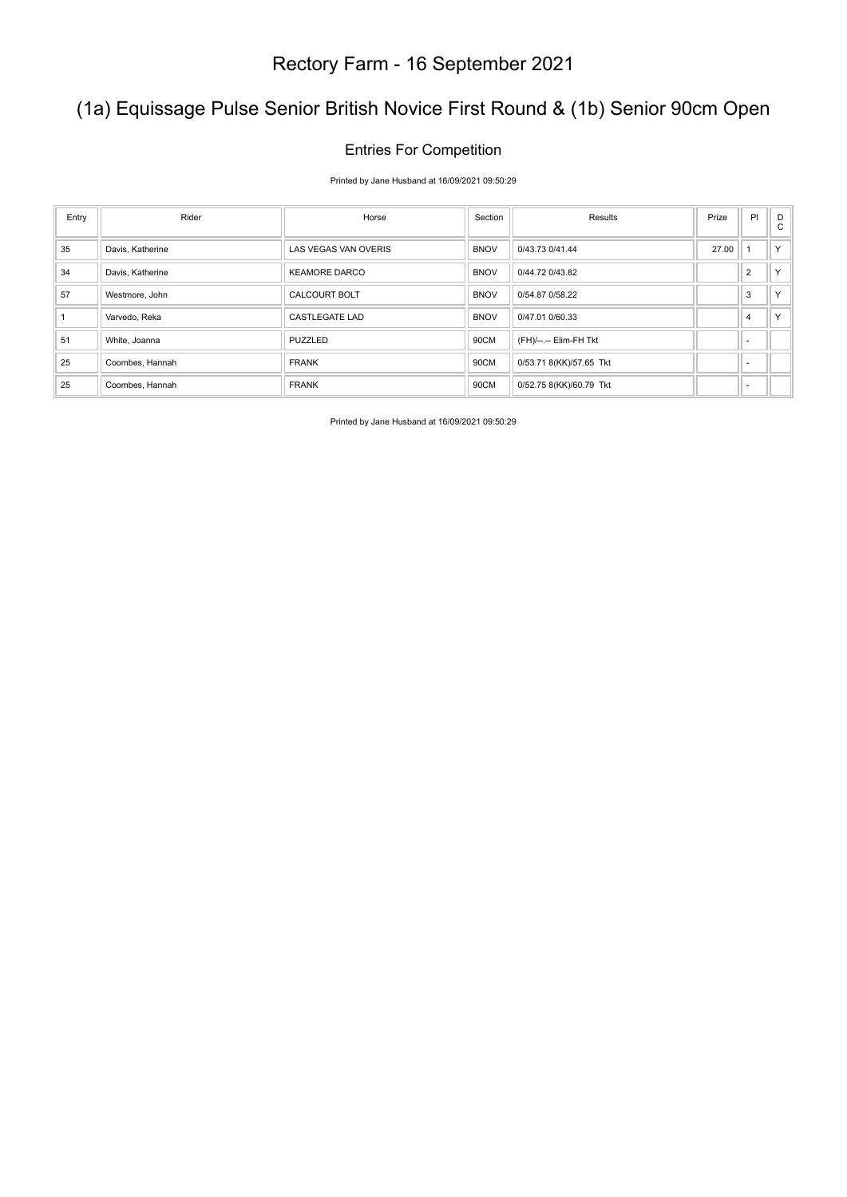### (1a) Equissage Pulse Senior British Novice First Round & (1b) Senior 90cm Open

#### Entries For Competition

Printed by Jane Husband at 16/09/2021 09:50:29

| Entry | Rider            | Horse                 | Section     | Results                 | Prize | PI                       | D<br>$\mathsf{C}$ |
|-------|------------------|-----------------------|-------------|-------------------------|-------|--------------------------|-------------------|
| 35    | Davis, Katherine | LAS VEGAS VAN OVERIS  | <b>BNOV</b> | 0/43.73 0/41.44         | 27.00 |                          | Y.                |
| 34    | Davis, Katherine | <b>KEAMORE DARCO</b>  | <b>BNOV</b> | 0/44.72 0/43.82         |       | $\overline{2}$           | Y.                |
| 57    | Westmore, John   | <b>CALCOURT BOLT</b>  | <b>BNOV</b> | 0/54.87 0/58.22         |       | 3                        | $\vee$            |
|       | Varvedo, Reka    | <b>CASTLEGATE LAD</b> | <b>BNOV</b> | 0/47.01 0/60.33         |       | $\overline{4}$           | $\vee$            |
| 51    | White, Joanna    | PUZZLED               | 90CM        | (FH)/--.-- Elim-FH Tkt  |       | $\overline{\phantom{a}}$ |                   |
| 25    | Coombes, Hannah  | <b>FRANK</b>          | 90CM        | 0/53.71 8(KK)/57.65 Tkt |       |                          |                   |
| 25    | Coombes, Hannah  | <b>FRANK</b>          | 90CM        | 0/52.75 8(KK)/60.79 Tkt |       | $\overline{\phantom{a}}$ |                   |

Printed by Jane Husband at 16/09/2021 09:50:29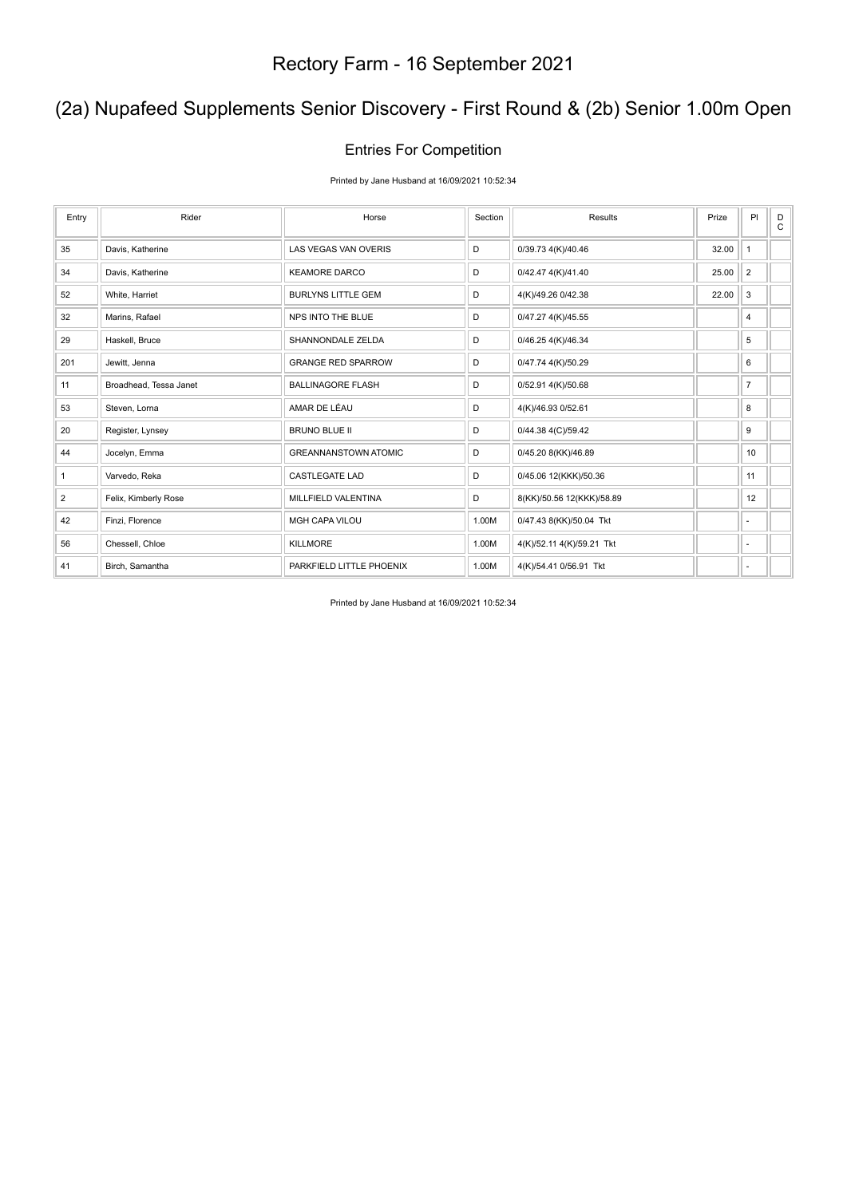### (2a) Nupafeed Supplements Senior Discovery - First Round & (2b) Senior 1.00m Open

#### Entries For Competition

Printed by Jane Husband at 16/09/2021 10:52:34

| Entry        | Rider                  | Horse                       | Section | Results                   | Prize | PI             | D<br>$\mathsf{C}$ |
|--------------|------------------------|-----------------------------|---------|---------------------------|-------|----------------|-------------------|
| 35           | Davis, Katherine       | <b>LAS VEGAS VAN OVERIS</b> | D       | 0/39.73 4(K)/40.46        | 32.00 | $\mathbf{1}$   |                   |
| 34           | Davis, Katherine       | <b>KEAMORE DARCO</b>        | D       | 0/42.47 4(K)/41.40        | 25.00 | $\overline{2}$ |                   |
| 52           | White, Harriet         | <b>BURLYNS LITTLE GEM</b>   | D       | 4(K)/49.26 0/42.38        | 22.00 | 3              |                   |
| 32           | Marins, Rafael         | NPS INTO THE BLUE           | D       | 0/47.27 4(K)/45.55        |       | 4              |                   |
| 29           | Haskell, Bruce         | SHANNONDALE ZELDA           | D       | 0/46.25 4(K)/46.34        |       | 5              |                   |
| 201          | Jewitt, Jenna          | <b>GRANGE RED SPARROW</b>   | D       | 0/47.74 4(K)/50.29        |       | 6              |                   |
| 11           | Broadhead, Tessa Janet | <b>BALLINAGORE FLASH</b>    | D       | 0/52.91 4(K)/50.68        |       | $\overline{7}$ |                   |
| 53           | Steven, Lorna          | AMAR DE LÉAU                | D       | 4(K)/46.93 0/52.61        |       | 8              |                   |
| 20           | Register, Lynsey       | <b>BRUNO BLUE II</b>        | D       | 0/44.38 4(C)/59.42        |       | 9              |                   |
| 44           | Jocelyn, Emma          | <b>GREANNANSTOWN ATOMIC</b> | D       | 0/45.20 8(KK)/46.89       |       | 10             |                   |
| $\mathbf{1}$ | Varvedo, Reka          | <b>CASTLEGATE LAD</b>       | D       | 0/45.06 12(KKK)/50.36     |       | 11             |                   |
| 2            | Felix, Kimberly Rose   | MILLFIELD VALENTINA         | D       | 8(KK)/50.56 12(KKK)/58.89 |       | 12             |                   |
| 42           | Finzi, Florence        | MGH CAPA VILOU              | 1.00M   | 0/47.43 8(KK)/50.04 Tkt   |       | ٠              |                   |
| 56           | Chessell, Chloe        | <b>KILLMORE</b>             | 1.00M   | 4(K)/52.11 4(K)/59.21 Tkt |       | $\sim$         |                   |
| 41           | Birch, Samantha        | PARKFIELD LITTLE PHOENIX    | 1.00M   | 4(K)/54.41 0/56.91 Tkt    |       | ٠              |                   |

Printed by Jane Husband at 16/09/2021 10:52:34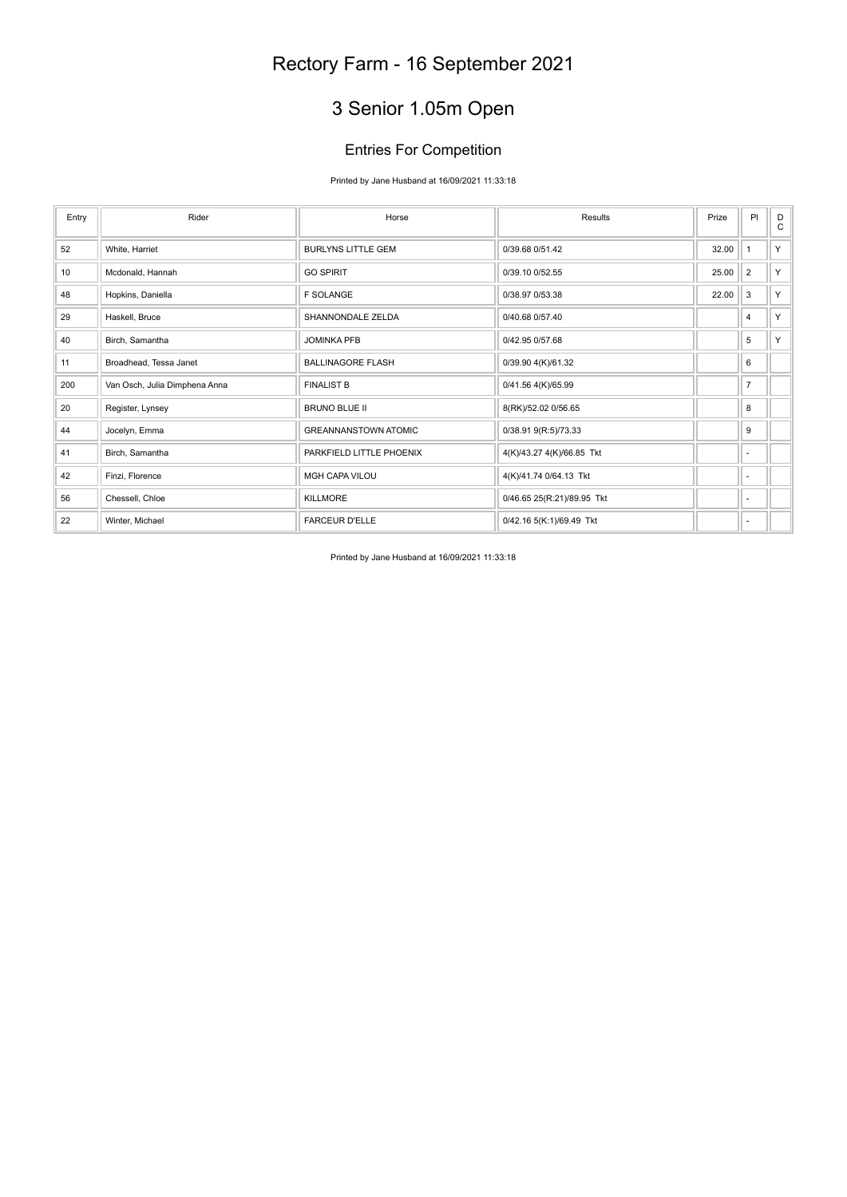## 3 Senior 1.05m Open

#### Entries For Competition

#### Printed by Jane Husband at 16/09/2021 11:33:18

| Entry | Rider                         | Horse                       | Results                    | Prize | PI             | D<br>$\mathsf{C}$ |
|-------|-------------------------------|-----------------------------|----------------------------|-------|----------------|-------------------|
| 52    | White, Harriet                | <b>BURLYNS LITTLE GEM</b>   | 0/39.68 0/51.42            | 32.00 |                | Y                 |
| 10    | Mcdonald, Hannah              | <b>GO SPIRIT</b>            | 0/39.10 0/52.55            | 25.00 | $\overline{2}$ | Y                 |
| 48    | Hopkins, Daniella             | <b>F SOLANGE</b>            | 0/38.97 0/53.38            | 22.00 | 3              | Y                 |
| 29    | Haskell, Bruce                | SHANNONDALE ZELDA           | 0/40.68 0/57.40            |       | 4              | Y                 |
| 40    | Birch, Samantha               | <b>JOMINKA PFB</b>          | 0/42.95 0/57.68            |       | 5              | Y                 |
| 11    | Broadhead, Tessa Janet        | <b>BALLINAGORE FLASH</b>    | 0/39.90 4(K)/61.32         |       | 6              |                   |
| 200   | Van Osch, Julia Dimphena Anna | <b>FINALIST B</b>           | 0/41.56 4(K)/65.99         |       | $\overline{7}$ |                   |
| 20    | Register, Lynsey              | <b>BRUNO BLUE II</b>        | 8(RK)/52.02 0/56.65        |       | 8              |                   |
| 44    | Jocelyn, Emma                 | <b>GREANNANSTOWN ATOMIC</b> | 0/38.91 9(R:5)/73.33       |       | 9              |                   |
| 41    | Birch, Samantha               | PARKFIELD LITTLE PHOENIX    | 4(K)/43.27 4(K)/66.85 Tkt  |       | $\blacksquare$ |                   |
| 42    | Finzi, Florence               | <b>MGH CAPA VILOU</b>       | 4(K)/41.74 0/64.13 Tkt     |       | ×              |                   |
| 56    | Chessell, Chloe               | <b>KILLMORE</b>             | 0/46.65 25(R:21)/89.95 Tkt |       | $\sim$         |                   |
| 22    | Winter, Michael               | <b>FARCEUR D'ELLE</b>       | 0/42.16 5(K:1)/69.49 Tkt   |       | $\blacksquare$ |                   |

Printed by Jane Husband at 16/09/2021 11:33:18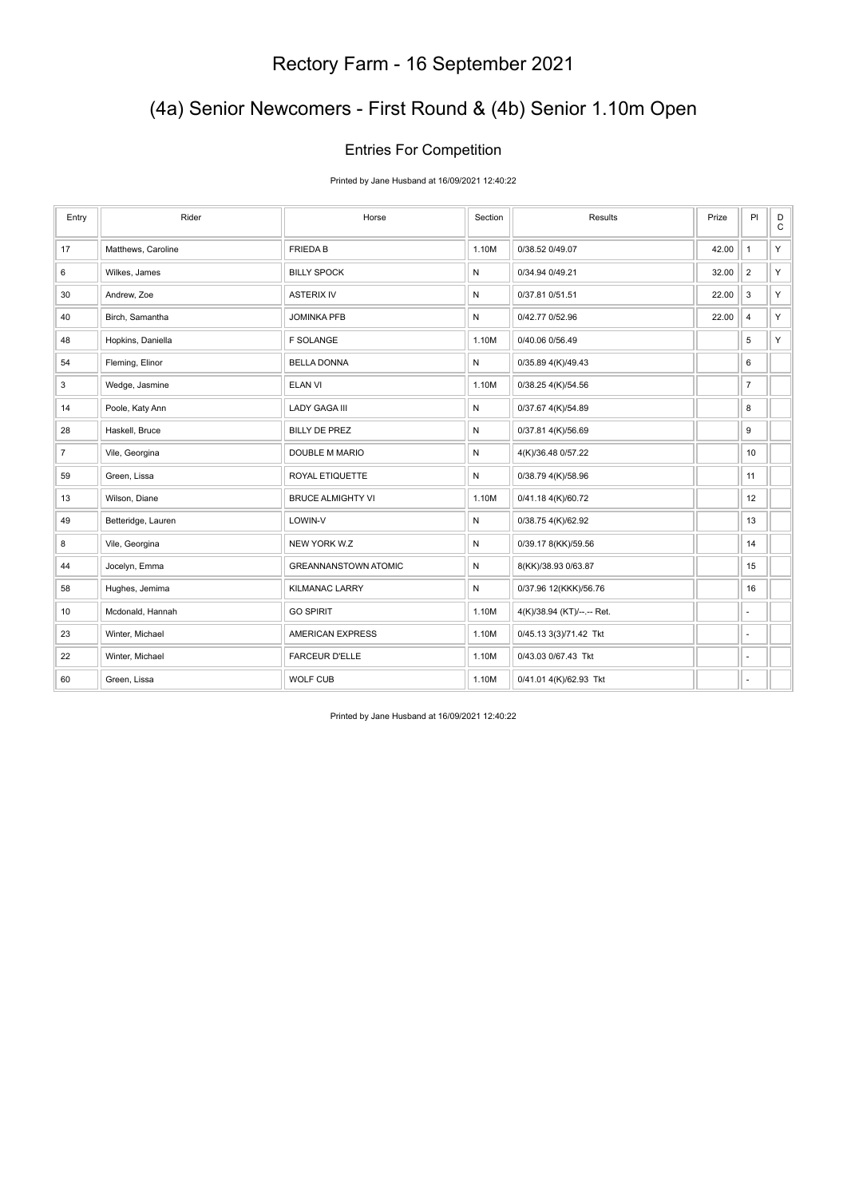### (4a) Senior Newcomers - First Round & (4b) Senior 1.10m Open

#### Entries For Competition

Printed by Jane Husband at 16/09/2021 12:40:22

| Entry | Rider              | Horse                       | Section      | Results                    | Prize | PI                       | D<br>$\mathtt{C}$ |
|-------|--------------------|-----------------------------|--------------|----------------------------|-------|--------------------------|-------------------|
| 17    | Matthews, Caroline | <b>FRIEDAB</b>              | 1.10M        | 0/38.52 0/49.07            | 42.00 | $\mathbf{1}$             | Y                 |
| 6     | Wilkes, James      | <b>BILLY SPOCK</b>          | ${\sf N}$    | 0/34.94 0/49.21            | 32.00 | $\overline{2}$           | Y.                |
| 30    | Andrew, Zoe        | <b>ASTERIX IV</b>           | $\mathsf{N}$ | 0/37.81 0/51.51            | 22.00 | 3                        | Y.                |
| 40    | Birch, Samantha    | <b>JOMINKA PFB</b>          | ${\sf N}$    | 0/42.77 0/52.96            | 22.00 | $\overline{\mathbf{4}}$  | Y.                |
| 48    | Hopkins, Daniella  | <b>F SOLANGE</b>            | 1.10M        | 0/40.06 0/56.49            |       | 5                        | Y                 |
| 54    | Fleming, Elinor    | <b>BELLA DONNA</b>          | $\mathsf{N}$ | 0/35.89 4(K)/49.43         |       | 6                        |                   |
| 3     | Wedge, Jasmine     | <b>ELAN VI</b>              | 1.10M        | 0/38.25 4(K)/54.56         |       | $\overline{7}$           |                   |
| 14    | Poole, Katy Ann    | <b>LADY GAGA III</b>        | N            | 0/37.67 4(K)/54.89         |       | 8                        |                   |
| 28    | Haskell, Bruce     | <b>BILLY DE PREZ</b>        | $\mathsf{N}$ | 0/37.81 4(K)/56.69         |       | 9                        |                   |
| 7     | Vile, Georgina     | DOUBLE M MARIO              | ${\sf N}$    | 4(K)/36.48 0/57.22         |       | 10                       |                   |
| 59    | Green, Lissa       | ROYAL ETIQUETTE             | ${\sf N}$    | 0/38.79 4(K)/58.96         |       | 11                       |                   |
| 13    | Wilson, Diane      | <b>BRUCE ALMIGHTY VI</b>    | 1.10M        | 0/41.18 4(K)/60.72         |       | 12                       |                   |
| 49    | Betteridge, Lauren | LOWIN-V                     | N            | 0/38.75 4(K)/62.92         |       | 13                       |                   |
| 8     | Vile, Georgina     | NEW YORK W.Z                | $\mathsf{N}$ | 0/39.17 8(KK)/59.56        |       | 14                       |                   |
| 44    | Jocelyn, Emma      | <b>GREANNANSTOWN ATOMIC</b> | ${\sf N}$    | 8(KK)/38.93 0/63.87        |       | 15                       |                   |
| 58    | Hughes, Jemima     | <b>KILMANAC LARRY</b>       | $\mathsf{N}$ | 0/37.96 12(KKK)/56.76      |       | 16                       |                   |
| 10    | Mcdonald, Hannah   | <b>GO SPIRIT</b>            | 1.10M        | 4(K)/38.94 (KT)/--.-- Ret. |       | ٠                        |                   |
| 23    | Winter, Michael    | <b>AMERICAN EXPRESS</b>     | 1.10M        | 0/45.13 3(3)/71.42 Tkt     |       | $\overline{\phantom{a}}$ |                   |
| 22    | Winter, Michael    | <b>FARCEUR D'ELLE</b>       | 1.10M        | 0/43.03 0/67.43 Tkt        |       | $\overline{\phantom{a}}$ |                   |
| 60    | Green, Lissa       | WOLF CUB                    | 1.10M        | 0/41.01 4(K)/62.93 Tkt     |       | ä,                       |                   |

Printed by Jane Husband at 16/09/2021 12:40:22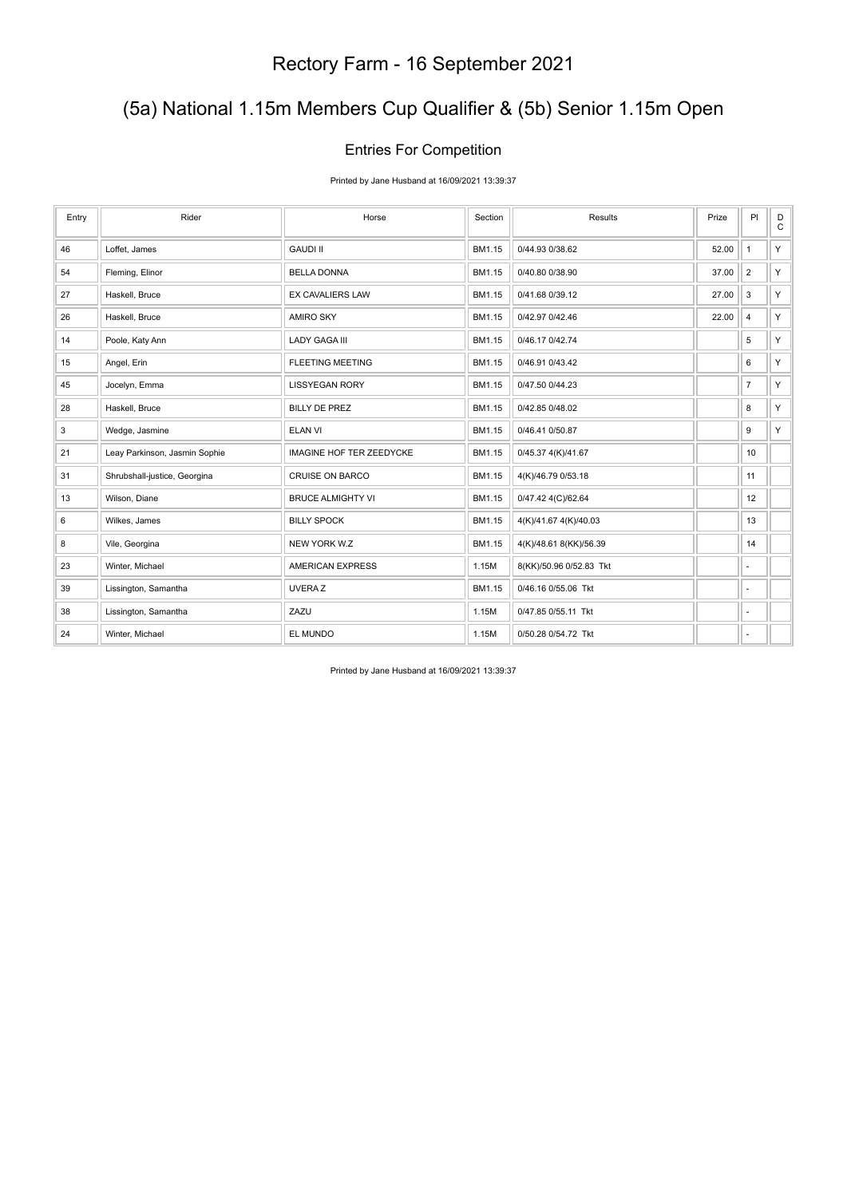### (5a) National 1.15m Members Cup Qualifier & (5b) Senior 1.15m Open

#### Entries For Competition

Printed by Jane Husband at 16/09/2021 13:39:37

| Entry | Rider                         | Horse                           | Section | Results                 | Prize | PI                       | $_\mathrm{C}^\mathrm{D}$ |
|-------|-------------------------------|---------------------------------|---------|-------------------------|-------|--------------------------|--------------------------|
| 46    | Loffet, James                 | <b>GAUDI II</b>                 | BM1.15  | 0/44.93 0/38.62         | 52.00 | $\mathbf{1}$             | Y.                       |
| 54    | Fleming, Elinor               | <b>BELLA DONNA</b>              | BM1.15  | 0/40.80 0/38.90         | 37.00 | $\overline{2}$           | Y.                       |
| 27    | Haskell, Bruce                | <b>EX CAVALIERS LAW</b>         | BM1.15  | 0/41.68 0/39.12         | 27.00 | 3                        | Y.                       |
| 26    | Haskell, Bruce                | <b>AMIRO SKY</b>                | BM1.15  | 0/42.97 0/42.46         | 22.00 | 4                        | Y.                       |
| 14    | Poole, Katy Ann               | <b>LADY GAGA III</b>            | BM1.15  | 0/46.17 0/42.74         |       | 5                        | Y.                       |
| 15    | Angel, Erin                   | <b>FLEETING MEETING</b>         | BM1.15  | 0/46.91 0/43.42         |       | 6                        | Y.                       |
| 45    | Jocelyn, Emma                 | <b>LISSYEGAN RORY</b>           | BM1.15  | 0/47.50 0/44.23         |       | $\overline{7}$           | Y.                       |
| 28    | Haskell, Bruce                | <b>BILLY DE PREZ</b>            | BM1.15  | 0/42.85 0/48.02         |       | 8                        | Y.                       |
| 3     | Wedge, Jasmine                | <b>ELAN VI</b>                  | BM1.15  | 0/46.41 0/50.87         |       | 9                        | Y.                       |
| 21    | Leay Parkinson, Jasmin Sophie | <b>IMAGINE HOF TER ZEEDYCKE</b> | BM1.15  | 0/45.37 4(K)/41.67      |       | 10                       |                          |
| 31    | Shrubshall-justice, Georgina  | <b>CRUISE ON BARCO</b>          | BM1.15  | 4(K)/46.79 0/53.18      |       | 11                       |                          |
| 13    | Wilson, Diane                 | <b>BRUCE ALMIGHTY VI</b>        | BM1.15  | 0/47.42 4(C)/62.64      |       | 12                       |                          |
| 6     | Wilkes, James                 | <b>BILLY SPOCK</b>              | BM1.15  | 4(K)/41.67 4(K)/40.03   |       | 13                       |                          |
| 8     | Vile, Georgina                | NEW YORK W.Z                    | BM1.15  | 4(K)/48.61 8(KK)/56.39  |       | 14                       |                          |
| 23    | Winter, Michael               | <b>AMERICAN EXPRESS</b>         | 1.15M   | 8(KK)/50.96 0/52.83 Tkt |       | ÷,                       |                          |
| 39    | Lissington, Samantha          | <b>UVERAZ</b>                   | BM1.15  | 0/46.16 0/55.06 Tkt     |       | ×.                       |                          |
| 38    | Lissington, Samantha          | ZAZU                            | 1.15M   | 0/47.85 0/55.11 Tkt     |       | $\overline{\phantom{a}}$ |                          |
| 24    | Winter, Michael               | EL MUNDO                        | 1.15M   | 0/50.28 0/54.72 Tkt     |       | $\overline{\phantom{a}}$ |                          |

Printed by Jane Husband at 16/09/2021 13:39:37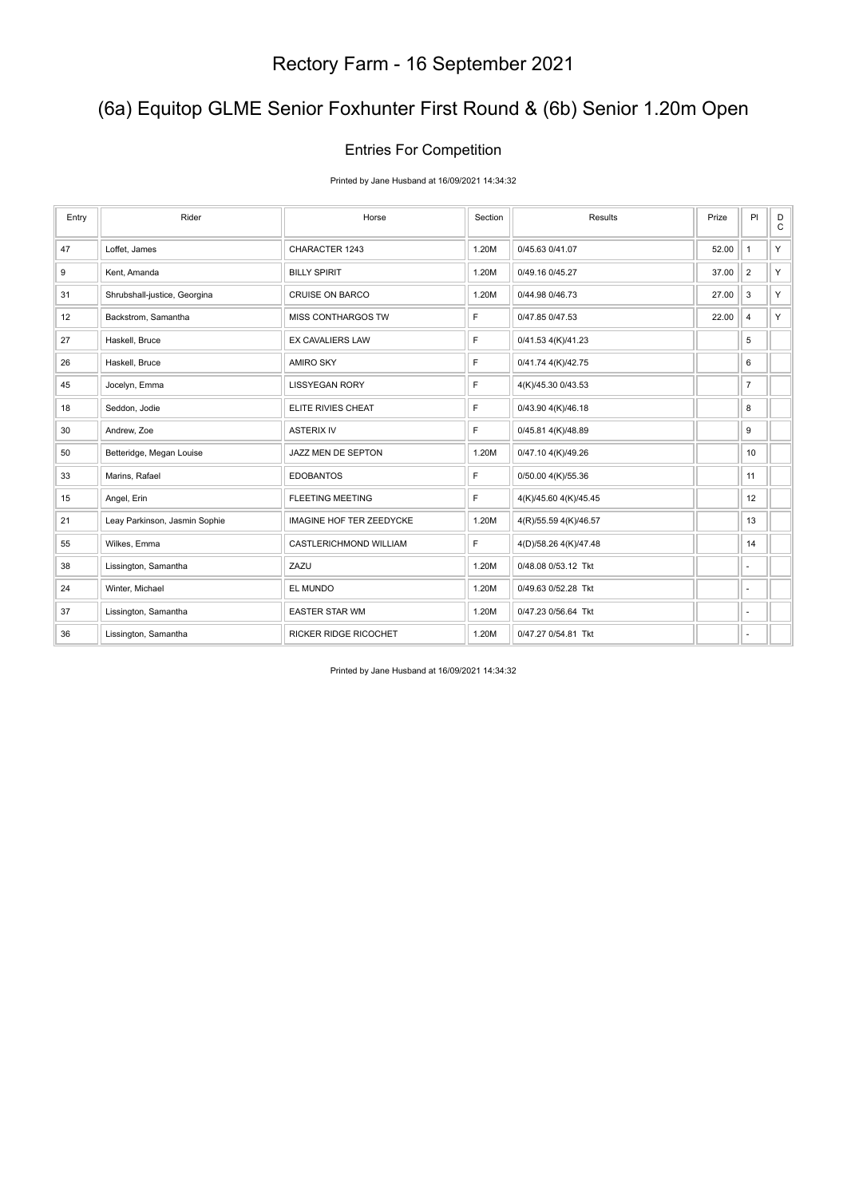### (6a) Equitop GLME Senior Foxhunter First Round & (6b) Senior 1.20m Open

#### Entries For Competition

Printed by Jane Husband at 16/09/2021 14:34:32

| Entry | Rider                         | Horse                           | Section | Results               | Prize | PI             | D<br>$\mathtt{C}$ |
|-------|-------------------------------|---------------------------------|---------|-----------------------|-------|----------------|-------------------|
| 47    | Loffet, James                 | CHARACTER 1243                  | 1.20M   | 0/45.63 0/41.07       | 52.00 | $\mathbf{1}$   | Y                 |
| 9     | Kent, Amanda                  | <b>BILLY SPIRIT</b>             | 1.20M   | 0/49.16 0/45.27       | 37.00 | $\overline{2}$ | Y                 |
| 31    | Shrubshall-justice, Georgina  | <b>CRUISE ON BARCO</b>          | 1.20M   | 0/44.98 0/46.73       | 27.00 | $\mathsf 3$    | Y.                |
| 12    | Backstrom, Samantha           | MISS CONTHARGOS TW              | F       | 0/47.85 0/47.53       | 22.00 | $\overline{4}$ | Y.                |
| 27    | Haskell, Bruce                | <b>EX CAVALIERS LAW</b>         | F       | 0/41.53 4(K)/41.23    |       | 5              |                   |
| 26    | Haskell, Bruce                | <b>AMIRO SKY</b>                | F       | 0/41.74 4(K)/42.75    |       | 6              |                   |
| 45    | Jocelyn, Emma                 | <b>LISSYEGAN RORY</b>           | F       | 4(K)/45.30 0/43.53    |       | $\overline{7}$ |                   |
| 18    | Seddon, Jodie                 | ELITE RIVIES CHEAT              | F       | 0/43.90 4(K)/46.18    |       | 8              |                   |
| 30    | Andrew, Zoe                   | <b>ASTERIX IV</b>               | F       | 0/45.81 4(K)/48.89    |       | 9              |                   |
| 50    | Betteridge, Megan Louise      | JAZZ MEN DE SEPTON              | 1.20M   | 0/47.10 4(K)/49.26    |       | 10             |                   |
| 33    | Marins, Rafael                | <b>EDOBANTOS</b>                | F       | 0/50.00 4(K)/55.36    |       | 11             |                   |
| 15    | Angel, Erin                   | <b>FLEETING MEETING</b>         | F       | 4(K)/45.60 4(K)/45.45 |       | 12             |                   |
| 21    | Leay Parkinson, Jasmin Sophie | <b>IMAGINE HOF TER ZEEDYCKE</b> | 1.20M   | 4(R)/55.59 4(K)/46.57 |       | 13             |                   |
| 55    | Wilkes, Emma                  | CASTLERICHMOND WILLIAM          | F       | 4(D)/58.26 4(K)/47.48 |       | 14             |                   |
| 38    | Lissington, Samantha          | ZAZU                            | 1.20M   | 0/48.08 0/53.12 Tkt   |       | ٠              |                   |
| 24    | Winter, Michael               | EL MUNDO                        | 1.20M   | 0/49.63 0/52.28 Tkt   |       | $\sim$         |                   |
| 37    | Lissington, Samantha          | <b>EASTER STAR WM</b>           | 1.20M   | 0/47.23 0/56.64 Tkt   |       | ٠              |                   |
| 36    | Lissington, Samantha          | <b>RICKER RIDGE RICOCHET</b>    | 1.20M   | 0/47.27 0/54.81 Tkt   |       | ٠              |                   |

Printed by Jane Husband at 16/09/2021 14:34:32